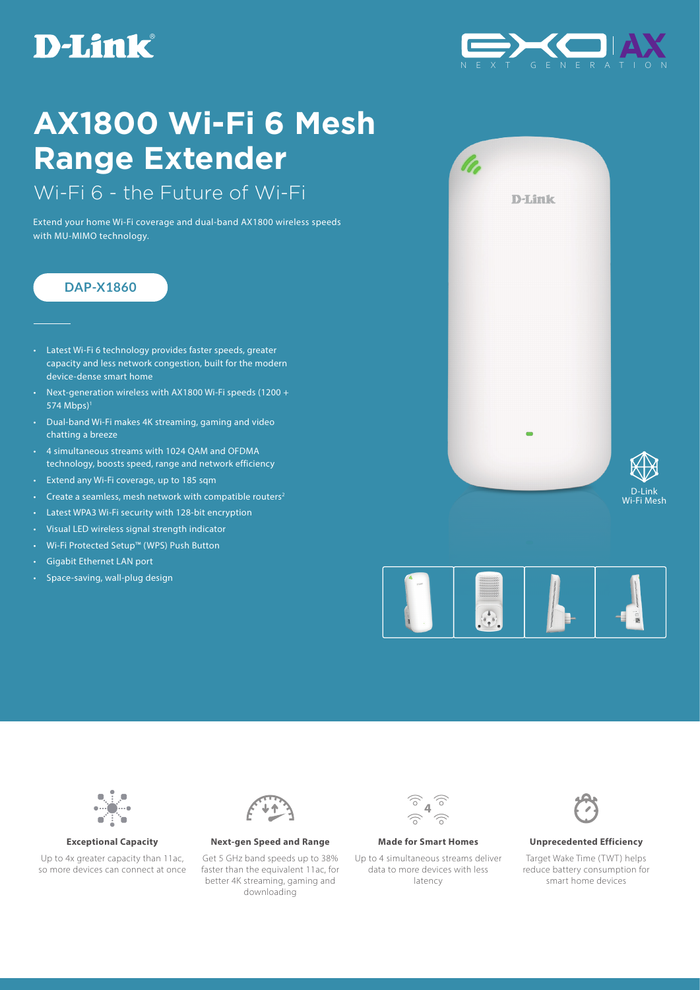# **D-Link**



# **AX1800 Wi-Fi 6 Mesh Range Extender**

Wi-Fi 6 - the Future of Wi-Fi

Extend your home Wi-Fi coverage and dual-band AX1800 wireless speeds with MU-MIMO technology.

## **DAP-X1860**

- Latest Wi-Fi 6 technology provides faster speeds, greater capacity and less network congestion, built for the modern device-dense smart home
- Next-generation wireless with AX1800 Wi-Fi speeds (1200 + 574 Mbps)1
- Dual-band Wi-Fi makes 4K streaming, gaming and video chatting a breeze
- 4 simultaneous streams with 1024 QAM and OFDMA technology, boosts speed, range and network efficiency
- Extend any Wi-Fi coverage, up to 185 sqm
- Create a seamless, mesh network with compatible routers<sup>2</sup>
- Latest WPA3 Wi-Fi security with 128-bit encryption
- Visual LED wireless signal strength indicator
- Wi-Fi Protected Setup™ (WPS) Push Button
- Gigabit Ethernet LAN port
- Space-saving, wall-plug design









Up to 4x greater capacity than 11ac. so more devices can connect at once



**Exceptional Capacity Next-gen Speed and Range Made for Smart Homes Unprecedented Efficiency**

Get 5 GHz band speeds up to 38% faster than the equivalent 11ac, for better 4K streaming, gaming and downloading



Up to 4 simultaneous streams deliver data to more devices with less latency



Target Wake Time (TWT) helps reduce battery consumption for smart home devices